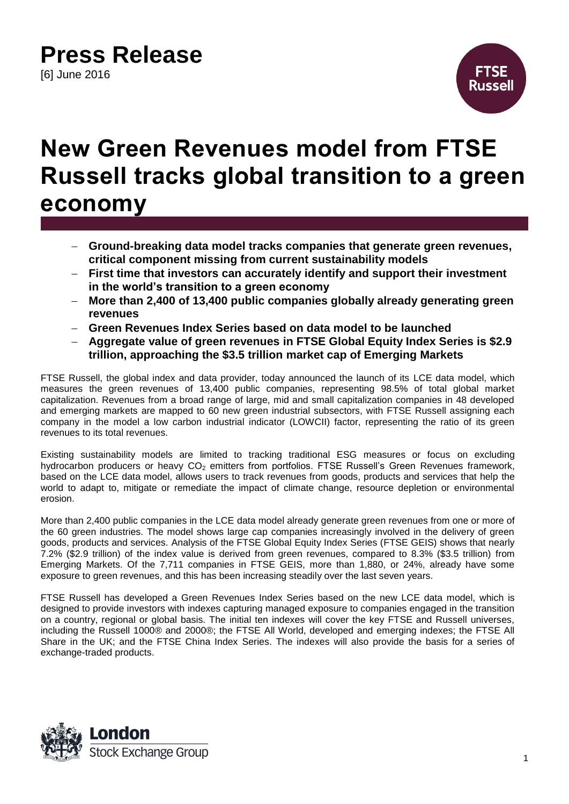# **Press Release**

[6] June 2016



### **New Green Revenues model from FTSE Russell tracks global transition to a green economy**

- **Ground-breaking data model tracks companies that generate green revenues, critical component missing from current sustainability models**
- **First time that investors can accurately identify and support their investment in the world's transition to a green economy**
- **More than 2,400 of 13,400 public companies globally already generating green revenues**
- **Green Revenues Index Series based on data model to be launched**
- **Aggregate value of green revenues in FTSE Global Equity Index Series is \$2.9 trillion, approaching the \$3.5 trillion market cap of Emerging Markets**

FTSE Russell, the global index and data provider, today announced the launch of its LCE data model, which measures the green revenues of 13,400 public companies, representing 98.5% of total global market capitalization. Revenues from a broad range of large, mid and small capitalization companies in 48 developed and emerging markets are mapped to 60 new green industrial subsectors, with FTSE Russell assigning each company in the model a low carbon industrial indicator (LOWCII) factor, representing the ratio of its green revenues to its total revenues.

Existing sustainability models are limited to tracking traditional ESG measures or focus on excluding hydrocarbon producers or heavy CO<sub>2</sub> emitters from portfolios. FTSE Russell's Green Revenues framework, based on the LCE data model, allows users to track revenues from goods, products and services that help the world to adapt to, mitigate or remediate the impact of climate change, resource depletion or environmental erosion.

More than 2,400 public companies in the LCE data model already generate green revenues from one or more of the 60 green industries. The model shows large cap companies increasingly involved in the delivery of green goods, products and services. Analysis of the FTSE Global Equity Index Series (FTSE GEIS) shows that nearly 7.2% (\$2.9 trillion) of the index value is derived from green revenues, compared to 8.3% (\$3.5 trillion) from Emerging Markets. Of the 7,711 companies in FTSE GEIS, more than 1,880, or 24%, already have some exposure to green revenues, and this has been increasing steadily over the last seven years.

FTSE Russell has developed a Green Revenues Index Series based on the new LCE data model, which is designed to provide investors with indexes capturing managed exposure to companies engaged in the transition on a country, regional or global basis. The initial ten indexes will cover the key FTSE and Russell universes, including the Russell 1000® and 2000®; the FTSE All World, developed and emerging indexes; the FTSE All Share in the UK; and the FTSE China Index Series. The indexes will also provide the basis for a series of exchange-traded products.

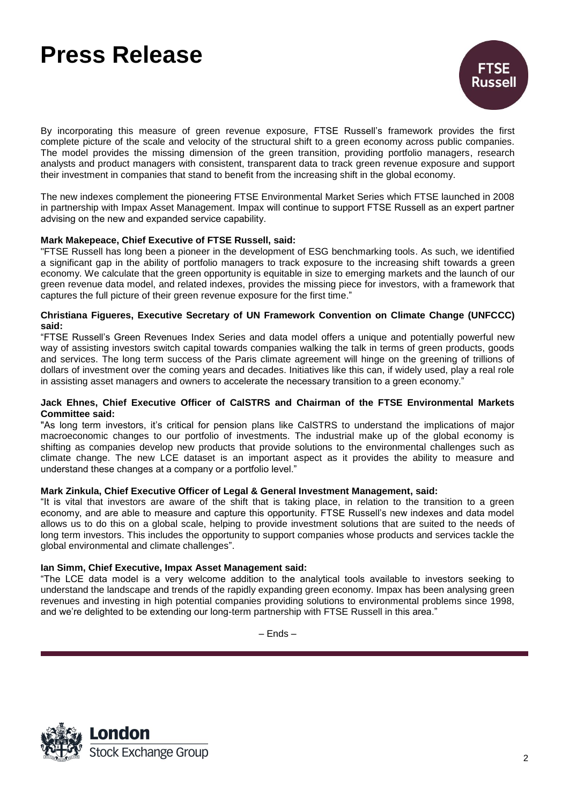## **Press Release**



By incorporating this measure of green revenue exposure, FTSE Russell's framework provides the first complete picture of the scale and velocity of the structural shift to a green economy across public companies. The model provides the missing dimension of the green transition, providing portfolio managers, research analysts and product managers with consistent, transparent data to track green revenue exposure and support their investment in companies that stand to benefit from the increasing shift in the global economy.

The new indexes complement the pioneering FTSE Environmental Market Series which FTSE launched in 2008 in partnership with Impax Asset Management. Impax will continue to support FTSE Russell as an expert partner advising on the new and expanded service capability.

### **Mark Makepeace, Chief Executive of FTSE Russell, said:**

"FTSE Russell has long been a pioneer in the development of ESG benchmarking tools. As such, we identified a significant gap in the ability of portfolio managers to track exposure to the increasing shift towards a green economy. We calculate that the green opportunity is equitable in size to emerging markets and the launch of our green revenue data model, and related indexes, provides the missing piece for investors, with a framework that captures the full picture of their green revenue exposure for the first time."

#### **Christiana Figueres, Executive Secretary of UN Framework Convention on Climate Change (UNFCCC) said:**

"FTSE Russell's Green Revenues Index Series and data model offers a unique and potentially powerful new way of assisting investors switch capital towards companies walking the talk in terms of green products, goods and services. The long term success of the Paris climate agreement will hinge on the greening of trillions of dollars of investment over the coming years and decades. Initiatives like this can, if widely used, play a real role in assisting asset managers and owners to accelerate the necessary transition to a green economy."

#### **Jack Ehnes, Chief Executive Officer of CalSTRS and Chairman of the FTSE Environmental Markets Committee said:**

"As long term investors, it's critical for pension plans like CalSTRS to understand the implications of major macroeconomic changes to our portfolio of investments. The industrial make up of the global economy is shifting as companies develop new products that provide solutions to the environmental challenges such as climate change. The new LCE dataset is an important aspect as it provides the ability to measure and understand these changes at a company or a portfolio level."

#### **Mark Zinkula, Chief Executive Officer of Legal & General Investment Management, said:**

"It is vital that investors are aware of the shift that is taking place, in relation to the transition to a green economy, and are able to measure and capture this opportunity. FTSE Russell's new indexes and data model allows us to do this on a global scale, helping to provide investment solutions that are suited to the needs of long term investors. This includes the opportunity to support companies whose products and services tackle the global environmental and climate challenges".

#### **Ian Simm, Chief Executive, Impax Asset Management said:**

"The LCE data model is a very welcome addition to the analytical tools available to investors seeking to understand the landscape and trends of the rapidly expanding green economy. Impax has been analysing green revenues and investing in high potential companies providing solutions to environmental problems since 1998, and we're delighted to be extending our long-term partnership with FTSE Russell in this area."

– Ends –